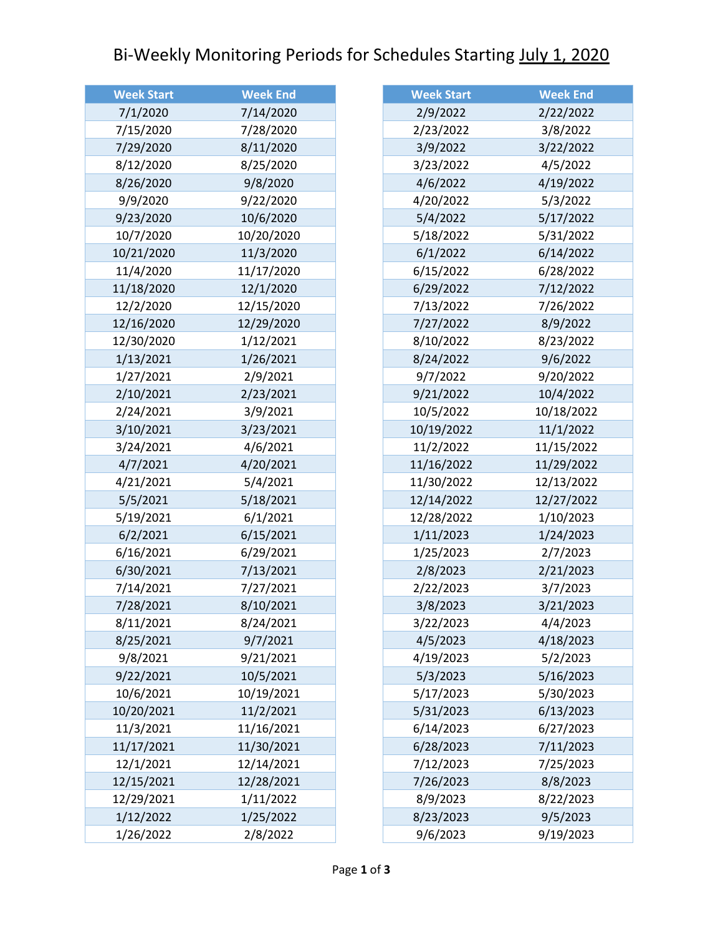## Bi-Weekly Monitoring Periods for Schedules Starting July 1, 2020

| <b>Week Start</b> | <b>Week End</b> |
|-------------------|-----------------|
| 7/1/2020          | 7/14/2020       |
| 7/15/2020         | 7/28/2020       |
| 7/29/2020         | 8/11/2020       |
| 8/12/2020         | 8/25/2020       |
| 8/26/2020         | 9/8/2020        |
| 9/9/2020          | 9/22/2020       |
| 9/23/2020         | 10/6/2020       |
| 10/7/2020         | 10/20/2020      |
| 10/21/2020        | 11/3/2020       |
| 11/4/2020         | 11/17/2020      |
| 11/18/2020        | 12/1/2020       |
| 12/2/2020         | 12/15/2020      |
| 12/16/2020        | 12/29/2020      |
| 12/30/2020        | 1/12/2021       |
| 1/13/2021         | 1/26/2021       |
| 1/27/2021         | 2/9/2021        |
| 2/10/2021         | 2/23/2021       |
| 2/24/2021         | 3/9/2021        |
| 3/10/2021         | 3/23/2021       |
| 3/24/2021         | 4/6/2021        |
| 4/7/2021          | 4/20/2021       |
| 4/21/2021         | 5/4/2021        |
| 5/5/2021          | 5/18/2021       |
| 5/19/2021         | 6/1/2021        |
| 6/2/2021          | 6/15/2021       |
| 6/16/2021         | 6/29/2021       |
| 6/30/2021         | 7/13/2021       |
| 7/14/2021         | 7/27/2021       |
| 7/28/2021         | 8/10/2021       |
| 8/11/2021         | 8/24/2021       |
| 8/25/2021         | 9/7/2021        |
| 9/8/2021          | 9/21/2021       |
| 9/22/2021         | 10/5/2021       |
| 10/6/2021         | 10/19/2021      |
| 10/20/2021        | 11/2/2021       |
| 11/3/2021         | 11/16/2021      |
| 11/17/2021        | 11/30/2021      |
| 12/1/2021         | 12/14/2021      |
| 12/15/2021        | 12/28/2021      |
| 12/29/2021        | 1/11/2022       |
| 1/12/2022         | 1/25/2022       |
| 1/26/2022         | 2/8/2022        |

| <b>Week Start</b> | <b>Week End</b> |
|-------------------|-----------------|
| 2/9/2022          | 2/22/2022       |
| 2/23/2022         | 3/8/2022        |
| 3/9/2022          | 3/22/2022       |
| 3/23/2022         | 4/5/2022        |
| 4/6/2022          | 4/19/2022       |
| 4/20/2022         | 5/3/2022        |
| 5/4/2022          | 5/17/2022       |
| 5/18/2022         | 5/31/2022       |
| 6/1/2022          | 6/14/2022       |
| 6/15/2022         | 6/28/2022       |
| 6/29/2022         | 7/12/2022       |
| 7/13/2022         | 7/26/2022       |
| 7/27/2022         | 8/9/2022        |
| 8/10/2022         | 8/23/2022       |
| 8/24/2022         | 9/6/2022        |
| 9/7/2022          | 9/20/2022       |
| 9/21/2022         | 10/4/2022       |
| 10/5/2022         | 10/18/2022      |
| 10/19/2022        | 11/1/2022       |
| 11/2/2022         | 11/15/2022      |
| 11/16/2022        | 11/29/2022      |
| 11/30/2022        | 12/13/2022      |
| 12/14/2022        | 12/27/2022      |
| 12/28/2022        | 1/10/2023       |
| 1/11/2023         | 1/24/2023       |
| 1/25/2023         | 2/7/2023        |
| 2/8/2023          | 2/21/2023       |
| 2/22/2023         | 3/7/2023        |
| 3/8/2023          | 3/21/2023       |
| 3/22/2023         | 4/4/2023        |
| 4/5/2023          | 4/18/2023       |
| 4/19/2023         | 5/2/2023        |
| 5/3/2023          | 5/16/2023       |
| 5/17/2023         | 5/30/2023       |
| 5/31/2023         | 6/13/2023       |
| 6/14/2023         | 6/27/2023       |
| 6/28/2023         | 7/11/2023       |
| 7/12/2023         | 7/25/2023       |
| 7/26/2023         | 8/8/2023        |
| 8/9/2023          | 8/22/2023       |
| 8/23/2023         | 9/5/2023        |
| 9/6/2023          | 9/19/2023       |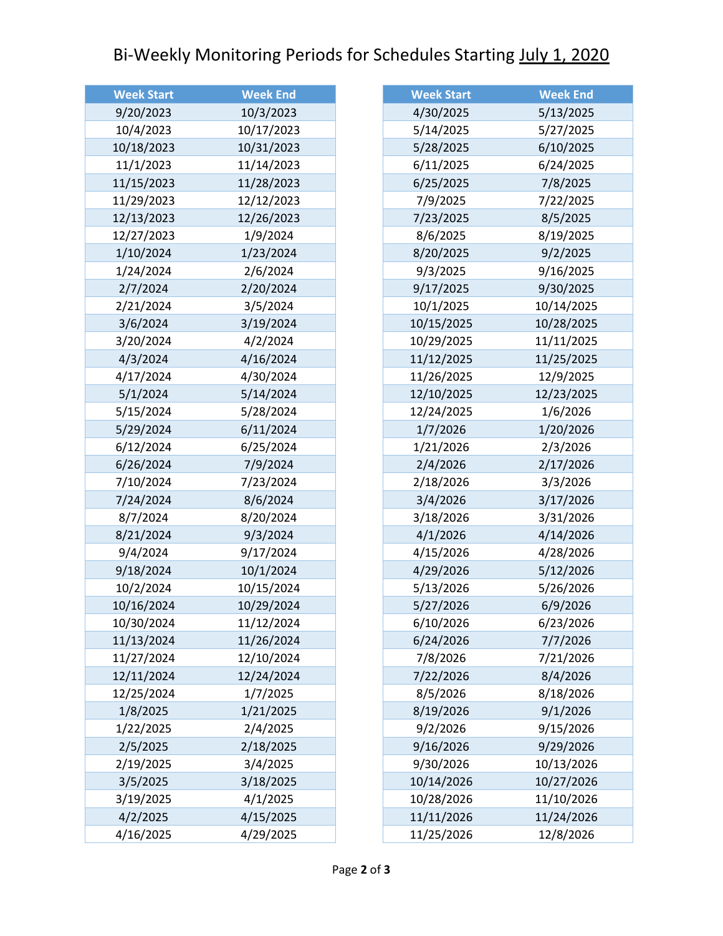## Bi-Weekly Monitoring Periods for Schedules Starting July 1, 2020

| <b>Week Start</b> | <b>Week End</b> |
|-------------------|-----------------|
| 9/20/2023         | 10/3/2023       |
| 10/4/2023         | 10/17/2023      |
| 10/18/2023        | 10/31/2023      |
| 11/1/2023         | 11/14/2023      |
| 11/15/2023        | 11/28/2023      |
| 11/29/2023        | 12/12/2023      |
| 12/13/2023        | 12/26/2023      |
| 12/27/2023        | 1/9/2024        |
| 1/10/2024         | 1/23/2024       |
| 1/24/2024         | 2/6/2024        |
| 2/7/2024          | 2/20/2024       |
| 2/21/2024         | 3/5/2024        |
| 3/6/2024          | 3/19/2024       |
| 3/20/2024         | 4/2/2024        |
| 4/3/2024          | 4/16/2024       |
| 4/17/2024         | 4/30/2024       |
| 5/1/2024          | 5/14/2024       |
| 5/15/2024         | 5/28/2024       |
| 5/29/2024         | 6/11/2024       |
| 6/12/2024         | 6/25/2024       |
| 6/26/2024         | 7/9/2024        |
| 7/10/2024         | 7/23/2024       |
| 7/24/2024         | 8/6/2024        |
| 8/7/2024          | 8/20/2024       |
| 8/21/2024         | 9/3/2024        |
| 9/4/2024          | 9/17/2024       |
| 9/18/2024         | 10/1/2024       |
| 10/2/2024         | 10/15/2024      |
| 10/16/2024        | 10/29/2024      |
| 10/30/2024        | 11/12/2024      |
| 11/13/2024        | 11/26/2024      |
| 11/27/2024        | 12/10/2024      |
| 12/11/2024        | 12/24/2024      |
| 12/25/2024        | 1/7/2025        |
| 1/8/2025          | 1/21/2025       |
| 1/22/2025         | 2/4/2025        |
| 2/5/2025          | 2/18/2025       |
| 2/19/2025         | 3/4/2025        |
| 3/5/2025          | 3/18/2025       |
| 3/19/2025         | 4/1/2025        |
| 4/2/2025          | 4/15/2025       |
| 4/16/2025         | 4/29/2025       |

| <b>Week Start</b> | <b>Week End</b> |
|-------------------|-----------------|
| 4/30/2025         | 5/13/2025       |
| 5/14/2025         | 5/27/2025       |
| 5/28/2025         | 6/10/2025       |
| 6/11/2025         | 6/24/2025       |
| 6/25/2025         | 7/8/2025        |
| 7/9/2025          | 7/22/2025       |
| 7/23/2025         | 8/5/2025        |
| 8/6/2025          | 8/19/2025       |
| 8/20/2025         | 9/2/2025        |
| 9/3/2025          | 9/16/2025       |
| 9/17/2025         | 9/30/2025       |
| 10/1/2025         | 10/14/2025      |
| 10/15/2025        | 10/28/2025      |
| 10/29/2025        | 11/11/2025      |
| 11/12/2025        | 11/25/2025      |
| 11/26/2025        | 12/9/2025       |
| 12/10/2025        | 12/23/2025      |
| 12/24/2025        | 1/6/2026        |
| 1/7/2026          | 1/20/2026       |
| 1/21/2026         | 2/3/2026        |
| 2/4/2026          | 2/17/2026       |
| 2/18/2026         | 3/3/2026        |
| 3/4/2026          | 3/17/2026       |
| 3/18/2026         | 3/31/2026       |
| 4/1/2026          | 4/14/2026       |
| 4/15/2026         | 4/28/2026       |
| 4/29/2026         | 5/12/2026       |
| 5/13/2026         | 5/26/2026       |
| 5/27/2026         | 6/9/2026        |
| 6/10/2026         | 6/23/2026       |
| 6/24/2026         | 7/7/2026        |
| 7/8/2026          | 7/21/2026       |
| 7/22/2026         | 8/4/2026        |
| 8/5/2026          | 8/18/2026       |
| 8/19/2026         | 9/1/2026        |
| 9/2/2026          | 9/15/2026       |
| 9/16/2026         | 9/29/2026       |
| 9/30/2026         | 10/13/2026      |
| 10/14/2026        | 10/27/2026      |
| 10/28/2026        | 11/10/2026      |
| 11/11/2026        | 11/24/2026      |
| 11/25/2026        | 12/8/2026       |